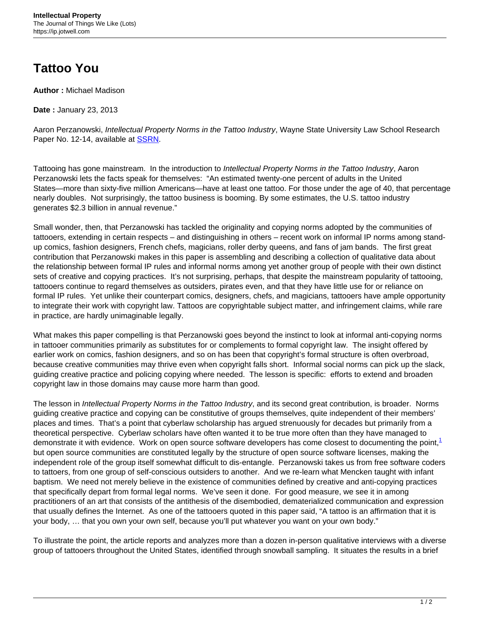## **Tattoo You**

**Author :** Michael Madison

**Date :** January 23, 2013

Aaron Perzanowski, Intellectual Property Norms in the Tattoo Industry, Wayne State University Law School Research Paper No. 12-14, available at **SSRN**.

Tattooing has gone mainstream. In the introduction to Intellectual Property Norms in the Tattoo Industry, Aaron Perzanowski lets the facts speak for themselves: "An estimated twenty-one percent of adults in the United States—more than sixty-five million Americans—have at least one tattoo. For those under the age of 40, that percentage nearly doubles. Not surprisingly, the tattoo business is booming. By some estimates, the U.S. tattoo industry generates \$2.3 billion in annual revenue."

Small wonder, then, that Perzanowski has tackled the originality and copying norms adopted by the communities of tattooers, extending in certain respects – and distinguishing in others – recent work on informal IP norms among standup comics, fashion designers, French chefs, magicians, roller derby queens, and fans of jam bands. The first great contribution that Perzanowski makes in this paper is assembling and describing a collection of qualitative data about the relationship between formal IP rules and informal norms among yet another group of people with their own distinct sets of creative and copying practices. It's not surprising, perhaps, that despite the mainstream popularity of tattooing, tattooers continue to regard themselves as outsiders, pirates even, and that they have little use for or reliance on formal IP rules. Yet unlike their counterpart comics, designers, chefs, and magicians, tattooers have ample opportunity to integrate their work with copyright law. Tattoos are copyrightable subject matter, and infringement claims, while rare in practice, are hardly unimaginable legally.

What makes this paper compelling is that Perzanowski goes beyond the instinct to look at informal anti-copying norms in tattooer communities primarily as substitutes for or complements to formal copyright law. The insight offered by earlier work on comics, fashion designers, and so on has been that copyright's formal structure is often overbroad, because creative communities may thrive even when copyright falls short. Informal social norms can pick up the slack, guiding creative practice and policing copying where needed. The lesson is specific: efforts to extend and broaden copyright law in those domains may cause more harm than good.

The lesson in Intellectual Property Norms in the Tattoo Industry, and its second great contribution, is broader. Norms guiding creative practice and copying can be constitutive of groups themselves, quite independent of their members' places and times. That's a point that cyberlaw scholarship has argued strenuously for decades but primarily from a theoretical perspective. Cyberlaw scholars have often wanted it to be true more often than they have managed to demonstrate it with evidence. Work on open source software developers has come closest to documenting the point, $1$ but open source communities are constituted legally by the structure of open source software licenses, making the independent role of the group itself somewhat difficult to dis-entangle. Perzanowski takes us from free software coders to tattoers, from one group of self-conscious outsiders to another. And we re-learn what Mencken taught with infant baptism. We need not merely believe in the existence of communities defined by creative and anti-copying practices that specifically depart from formal legal norms. We've seen it done. For good measure, we see it in among practitioners of an art that consists of the antithesis of the disembodied, dematerialized communication and expression that usually defines the Internet. As one of the tattooers quoted in this paper said, "A tattoo is an affirmation that it is your body, … that you own your own self, because you'll put whatever you want on your own body."

To illustrate the point, the article reports and analyzes more than a dozen in-person qualitative interviews with a diverse group of tattooers throughout the United States, identified through snowball sampling. It situates the results in a brief